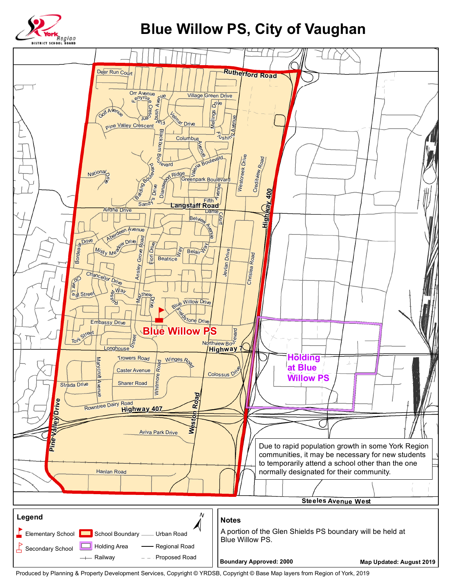

## **Blue Willow PS, City of Vaughan**



Produced by Planning & Property Development Services, Copyright © YRDSB, Copyright © Base Map layers from Region of York, 2019